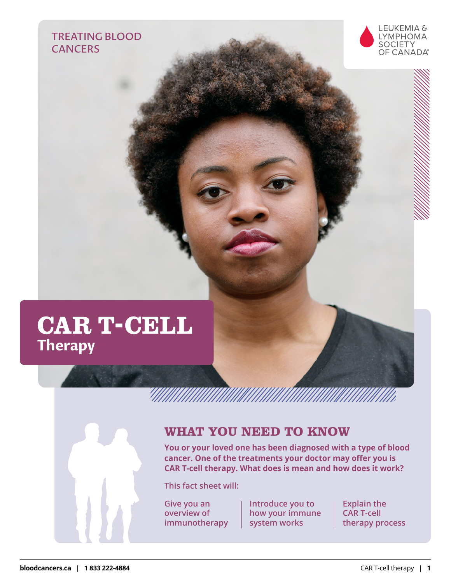TREATING BLOOD **CANCERS** 



# **CAR T-CELL Therapy**



**You or your loved one has been diagnosed with a type of blood cancer. One of the treatments your doctor may offer you is CAR T-cell therapy. What does is mean and how does it work?**

**This fact sheet will:**

**Give you an overview of immunotherapy** **Introduce you to how your immune system works**

**Explain the CAR T-cell therapy process**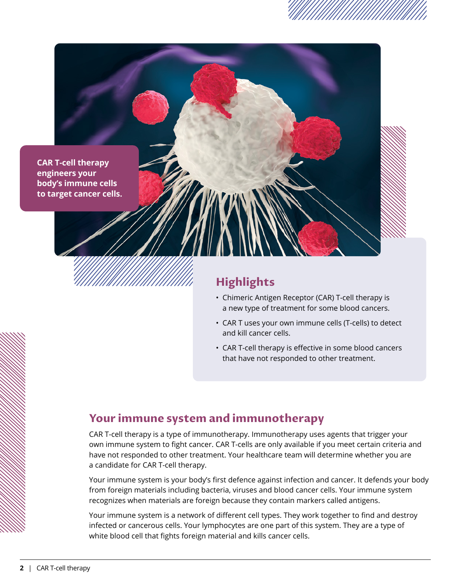

# **Highlights**

- Chimeric Antigen Receptor (CAR) T-cell therapy is a new type of treatment for some blood cancers.
- CAR T uses your own immune cells (T-cells) to detect and kill cancer cells.
- CAR T-cell therapy is effective in some blood cancers that have not responded to other treatment.

# **Your immune system and immunotherapy**

CAR T-cell therapy is a type of immunotherapy. Immunotherapy uses agents that trigger your own immune system to fight cancer. CAR T-cells are only available if you meet certain criteria and have not responded to other treatment. Your healthcare team will determine whether you are a candidate for CAR T-cell therapy.

Your immune system is your body's first defence against infection and cancer. It defends your body from foreign materials including bacteria, viruses and blood cancer cells. Your immune system recognizes when materials are foreign because they contain markers called antigens.

Your immune system is a network of different cell types. They work together to find and destroy infected or cancerous cells. Your lymphocytes are one part of this system. They are a type of white blood cell that fights foreign material and kills cancer cells.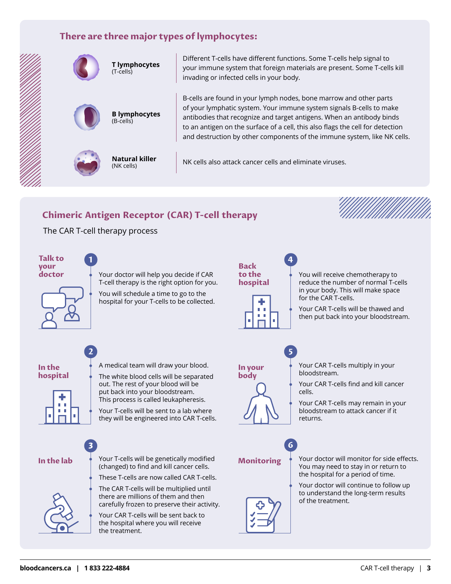### **There are three major types of lymphocytes:**



Different T-cells have different functions. Some T-cells help signal to your immune system that foreign materials are present. Some T-cells kill invading or infected cells in your body.

B-cells are found in your lymph nodes, bone marrow and other parts of your lymphatic system. Your immune system signals B-cells to make antibodies that recognize and target antigens. When an antibody binds to an antigen on the surface of a cell, this also flags the cell for detection and destruction by other components of the immune system, like NK cells.

NK cells also attack cancer cells and eliminate viruses.

### **Chimeric Antigen Receptor (CAR) T-cell therapy**

The CAR T-cell therapy process



there are millions of them and then carefully frozen to preserve their activity.

Your CAR T-cells will be sent back to the hospital where you will receive the treatment.



- You will receive chemotherapy to reduce the number of normal T-cells in your body. This will make space for the CAR T-cells.
- Your CAR T-cells will be thawed and then put back into your bloodstream.



- Your CAR T-cells multiply in your bloodstream.
- Your CAR T-cells find and kill cancer cells.
- Your CAR T-cells may remain in your bloodstream to attack cancer if it returns.

**Monitoring**

**6**

- Your doctor will monitor for side effects. You may need to stay in or return to the hospital for a period of time.
- Your doctor will continue to follow up to understand the long-term results of the treatment.